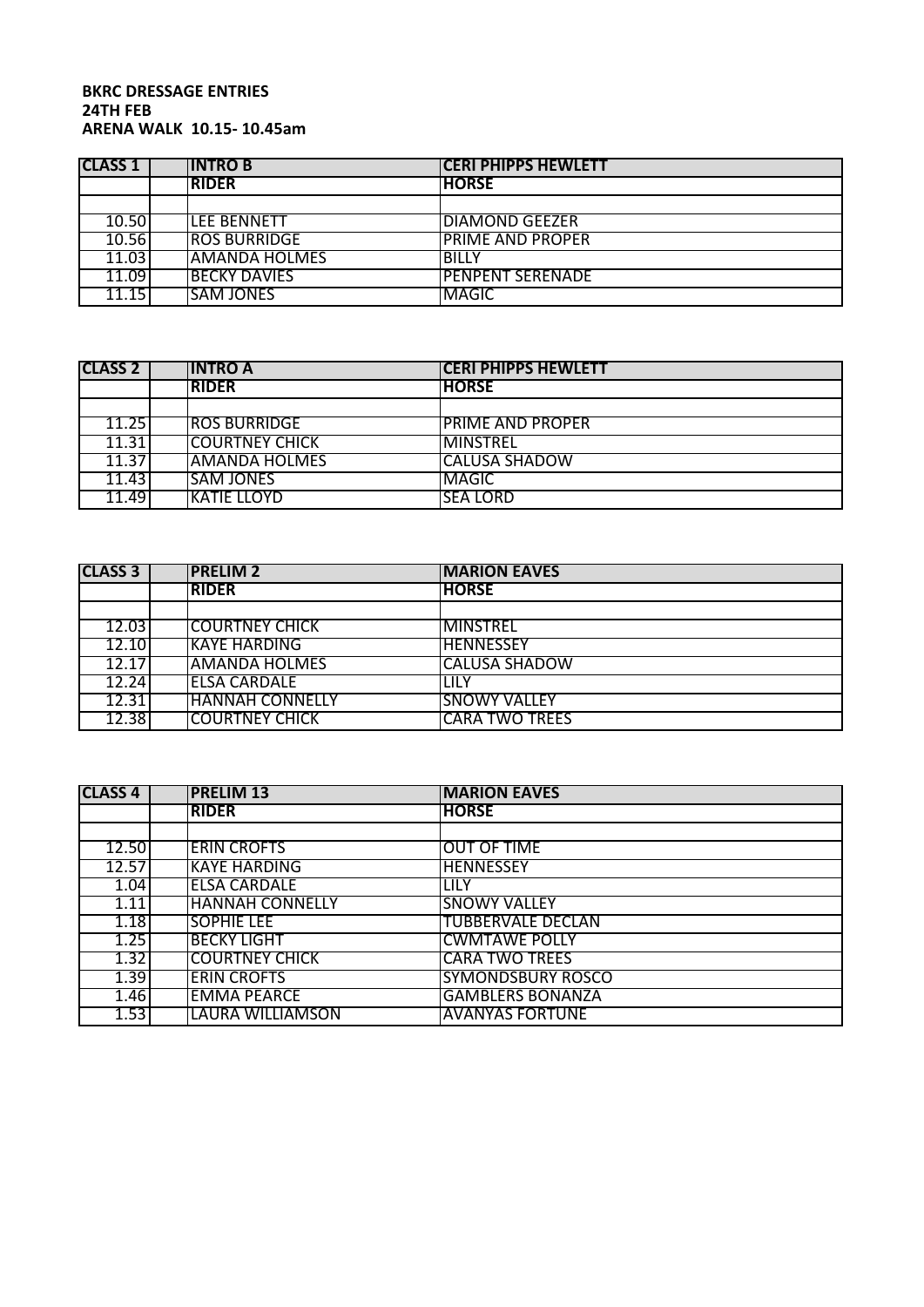## **BKRC DRESSAGE ENTRIES 24TH FEB ARENA WALK 10.15- 10.45am**

| <b>CLASS 1</b> | <b>INTROB</b>         | <b>CERI PHIPPS HEWLETT</b> |  |
|----------------|-----------------------|----------------------------|--|
|                | <b>RIDER</b>          | <b>HORSE</b>               |  |
|                |                       |                            |  |
| 10.50          | <b>ILEE BENNETT</b>   | <b>DIAMOND GEEZER</b>      |  |
| 10.56          | <b>ROS BURRIDGE</b>   | <b>PRIME AND PROPER</b>    |  |
| 11.03          | <b>JAMANDA HOLMES</b> | <b>BILLY</b>               |  |
| 11.09          | <b>BECKY DAVIES</b>   | <b>PENPENT SERENADE</b>    |  |
| 11.15          | <b>SAM JONES</b>      | <b>MAGIC</b>               |  |

| <b>CLASS 2</b> | <b>IINTRO A</b>       | <b>CERI PHIPPS HEWLETT</b> |  |
|----------------|-----------------------|----------------------------|--|
|                | <b>RIDER</b>          | <b>HORSE</b>               |  |
|                |                       |                            |  |
| 11.25          | <b>ROS BURRIDGE</b>   | <b>PRIME AND PROPER</b>    |  |
| 11.31          | <b>COURTNEY CHICK</b> | <b>MINSTREL</b>            |  |
| 11.37          | AMANDA HOLMES         | CALUSA SHADOW              |  |
| 11.43          | <b>SAM JONES</b>      | <b>MAGIC</b>               |  |
| 11.49          | <b>KATIE LLOYD</b>    | <b>SEA LORD</b>            |  |

| <b>CLASS 3</b> | <b>IPRELIM 2</b>       | <b>IMARION EAVES</b>  |
|----------------|------------------------|-----------------------|
|                | <b>IRIDER</b>          | <b>HORSE</b>          |
|                |                        |                       |
| 12.03          | <b>COURTNEY CHICK</b>  | <b>IMINSTREL</b>      |
| 12.10          | <b>KAYE HARDING</b>    | <b>HENNESSEY</b>      |
| 12.17          | <b>AMANDA HOLMES</b>   | <b>CALUSA SHADOW</b>  |
| 12.24          | IELSA CARDALE          | <b>LILY</b>           |
| 12.31          | <b>HANNAH CONNELLY</b> | <b>SNOWY VALLEY</b>   |
| 12.38          | <b>COURTNEY CHICK</b>  | <b>CARA TWO TREES</b> |

| <b>CLASS 4</b> | <b>PRELIM 13</b>       | <b>MARION EAVES</b>      |
|----------------|------------------------|--------------------------|
|                | <b>RIDER</b>           | <b>HORSE</b>             |
|                |                        |                          |
| 12.50          | <b>ERIN CROFTS</b>     | <b>OUT OF TIME</b>       |
| 12.57          | <b>KAYE HARDING</b>    | <b>HENNESSEY</b>         |
| 1.04           | <b>ELSA CARDALE</b>    | ilily                    |
| 1.11           | <b>HANNAH CONNELLY</b> | <b>SNOWY VALLEY</b>      |
| 1.18           | <b>SOPHIE LEE</b>      | TUBBERVALE DECLAN        |
| 1.25           | <b>BECKY LIGHT</b>     | <b>CWMTAWE POLLY</b>     |
| 1.32           | <b>COURTNEY CHICK</b>  | <b>CARA TWO TREES</b>    |
| 1.39           | <b>ERIN CROFTS</b>     | <b>SYMONDSBURY ROSCO</b> |
| 1.46           | <b>EMMA PEARCE</b>     | <b>GAMBLERS BONANZA</b>  |
| 1.53           | LAURA WILLIAMSON       | <b>AVANYAS FORTUNE</b>   |